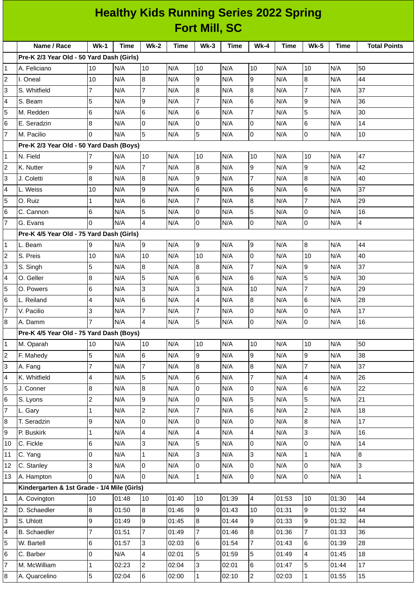| <b>Healthy Kids Running Series 2022 Spring</b> |                                             |                |       |                         |       |                     |       |                          |             |                  |             |                     |
|------------------------------------------------|---------------------------------------------|----------------|-------|-------------------------|-------|---------------------|-------|--------------------------|-------------|------------------|-------------|---------------------|
| <b>Fort Mill, SC</b>                           |                                             |                |       |                         |       |                     |       |                          |             |                  |             |                     |
|                                                | Name / Race                                 | $Wk-1$         | Time  | $Wk-2$                  | Time  | $Wk-3$              | Time  | <b>Wk-4</b>              | <b>Time</b> | <b>Wk-5</b>      | <b>Time</b> | <b>Total Points</b> |
|                                                | Pre-K 2/3 Year Old - 50 Yard Dash (Girls)   |                |       |                         |       |                     |       |                          |             |                  |             |                     |
| $\mathbf{1}$                                   | A. Feliciano                                | 10             | N/A   | 10                      | N/A   | 10                  | N/A   | 10                       | N/A         | 10               | N/A         | 50                  |
| $\overline{c}$                                 | II. Oneal                                   | 10             | N/A   | 8                       | N/A   | 9                   | N/A   | 9                        | N/A         | $\boldsymbol{8}$ | N/A         | 44                  |
| 3                                              | S. Whitfield                                | $\overline{7}$ | N/A   | $\overline{7}$          | N/A   | 8                   | N/A   | $\overline{8}$           | N/A         | $\overline{7}$   | N/A         | 37                  |
| 4                                              | S. Beam                                     | 5              | N/A   | 9                       | N/A   | $\overline{7}$      | N/A   | 6                        | N/A         | 9                | N/A         | 36                  |
| 5                                              | M. Redden                                   | 6              | N/A   | 6                       | N/A   | 6                   | N/A   | $\overline{7}$           | N/A         | 5                | N/A         | 30                  |
| 6                                              | E. Seradzin                                 | 8              | N/A   | $\overline{0}$          | N/A   | 0                   | N/A   | Iо                       | N/A         | 6                | N/A         | 14                  |
| $\overline{7}$                                 | M. Pacilio                                  | 0              | N/A   | 5                       | N/A   | 5                   | N/A   | Iо                       | N/A         | $\overline{0}$   | N/A         | 10                  |
|                                                | Pre-K 2/3 Year Old - 50 Yard Dash (Boys)    |                |       |                         |       |                     |       |                          |             |                  |             |                     |
| $\overline{1}$                                 | N. Field                                    | $\overline{7}$ | N/A   | 10                      | N/A   | 10                  | N/A   | 10                       | N/A         | 10               | N/A         | 47                  |
| $\overline{2}$                                 | K. Nutter                                   | 9              | N/A   | $\overline{7}$          | N/A   | 8                   | N/A   | 9                        | N/A         | 9                | N/A         | 42                  |
| 3                                              | J. Coletti                                  | 8              | N/A   | $\bf{8}$                | N/A   | 9                   | N/A   | $\overline{7}$           | N/A         | 8                | N/A         | 40                  |
| 4                                              | L. Weiss                                    | 10             | N/A   | 9                       | N/A   | 6                   | N/A   | 6                        | N/A         | 6                | N/A         | 37                  |
| 5                                              | O. Ruiz                                     | 1              | N/A   | 6                       | N/A   | $\overline{7}$      | N/A   | $\overline{8}$           | N/A         | $\overline{7}$   | N/A         | 29                  |
| 6                                              | C. Cannon                                   | 6              | N/A   | 5                       | N/A   | $\mathbf 0$         | N/A   | 5                        | N/A         | $\Omega$         | N/A         | 16                  |
| $\overline{7}$                                 | <b>G. Evans</b>                             | 0              | N/A   | $\overline{4}$          | N/A   | 0                   | N/A   | Iо                       | N/A         | $\overline{0}$   | N/A         | 4                   |
|                                                | Pre-K 4/5 Year Old - 75 Yard Dash (Girls)   |                |       |                         |       |                     |       |                          |             |                  |             |                     |
| $\mathbf{1}$                                   | L. Beam                                     | 9              | N/A   | 9                       | N/A   | 9                   | N/A   | 9                        | N/A         | $\boldsymbol{8}$ | N/A         | 44                  |
| $\overline{c}$                                 | S. Preis                                    | 10             | N/A   | 10                      | N/A   | 10                  | N/A   | 0                        | N/A         | 10               | N/A         | 40                  |
| 3                                              | S. Singh                                    | 5              | N/A   | 8                       | N/A   | 8                   | N/A   | $\overline{7}$           | N/A         | 9                | N/A         | 37                  |
| 4                                              | O. Geller                                   | 8              | N/A   | 5                       | N/A   | 6                   | N/A   | 6                        | N/A         | 5                | N/A         | 30                  |
| 5                                              | O. Powers                                   | 6              | N/A   | 3                       | N/A   | 3                   | N/A   | 10                       | N/A         | $\overline{7}$   | N/A         | 29                  |
| 6                                              | L. Reiland                                  | 4              | N/A   | 6                       | N/A   | $\overline{4}$      | N/A   | 8                        | N/A         | 6                | N/A         | 28                  |
| $\overline{7}$                                 | V. Pacilio                                  | 3              | N/A   | $\overline{7}$          | N/A   | $\overline{7}$      | N/A   | 0                        | N/A         | 0                | N/A         | 17                  |
| 8                                              | A. Damm                                     | $\overline{7}$ | N/A   | $\overline{\mathbf{4}}$ | N/A   | 5                   | N/A   | O                        | N/A         | $\overline{0}$   | N/A         | 16                  |
|                                                | Pre-K 4/5 Year Old - 75 Yard Dash (Boys)    |                |       |                         |       |                     |       |                          |             |                  |             |                     |
| $\vert$ 1                                      | M. Oparah                                   | 10             | N/A   | 10                      | N/A   | 10                  | N/A   | 10                       | N/A         | 10               | N/A         | 50                  |
| $\overline{2}$                                 | F. Mahedy                                   | 5              | N/A   | $6\phantom{.}$          | N/A   | 9                   | N/A   | 9                        | N/A         | 9                | N/A         | 38                  |
| 3                                              | A. Fang                                     | $\overline{7}$ | N/A   | $\overline{7}$          | N/A   | 8                   | N/A   | $\overline{8}$           | N/A         | $\overline{7}$   | N/A         | 37                  |
| $\overline{4}$                                 | K. Whitfield                                | 4              | N/A   | 5                       | N/A   | 6                   | N/A   | $\overline{7}$           | N/A         | 4                | N/A         | 26                  |
| 5                                              | J. Conner                                   | 8              | N/A   | $\overline{8}$          | N/A   | 0                   | N/A   | O                        | N/A         | $6\phantom{1}$   | N/A         | 22                  |
| $6\phantom{.}6$                                | S. Lyons                                    | $\overline{c}$ | N/A   | 9                       | N/A   | 0                   | N/A   | 5                        | N/A         | 5                | N/A         | 21                  |
| $\overline{7}$                                 | L. Gary                                     | $\mathbf{1}$   | N/A   | $\overline{c}$          | N/A   | 7                   | N/A   | $6\phantom{.}6$          | N/A         | $\overline{c}$   | N/A         | 18                  |
| $\bf{8}$                                       | T. Seradzin                                 | 9              | N/A   | 0                       | N/A   | 0                   | N/A   | O                        | N/A         | 8                | N/A         | 17                  |
| 9                                              | P. Buskirk                                  | $\mathbf 1$    | N/A   | 4                       | N/A   | $\overline{4}$      | N/A   | $\overline{\mathcal{L}}$ | N/A         | 3                | N/A         | 16                  |
| 10                                             | C. Fickle                                   | 6              | N/A   | $\overline{3}$          | N/A   | 5                   | N/A   | O                        | N/A         | 0                | N/A         | 14                  |
| 11                                             | C. Yang                                     | 0              | N/A   | $\mathbf{1}$            | N/A   | 3                   | N/A   | 3                        | N/A         | $\mathbf{1}$     | N/A         | 8                   |
| 12                                             | C. Stanley                                  | 3              | N/A   | $\overline{0}$          | N/A   | $\mathsf{O}\xspace$ | N/A   | $\overline{0}$           | N/A         | 0                | N/A         | 3                   |
| 13                                             | A. Hampton                                  | $\Omega$       | N/A   | l0                      | N/A   | $\mathbf{1}$        | N/A   | l0                       | N/A         | 0                | N/A         | $\mathbf{1}$        |
|                                                | Kindergarten & 1st Grade - 1/4 Mile (Girls) |                |       |                         |       |                     |       |                          |             |                  |             |                     |
| $\vert$ 1                                      | A. Covington                                | 10             | 01:48 | 10                      | 01:40 | 10                  | 01:39 | $\overline{4}$           | 01:53       | 10               | 01:30       | 44                  |
| $\overline{c}$                                 | D. Schaedler                                | 8              | 01:50 | $\overline{8}$          | 01:46 | 9                   | 01:43 | 10                       | 01:31       | 9                | 01:32       | 44                  |
| 3                                              | S. Uhlott                                   | 9              | 01:49 | 9                       | 01:45 | 8                   | 01:44 | 9                        | 01:33       | 9                | 01:32       | 44                  |
| $\overline{4}$                                 | <b>B.</b> Schaedler                         | $\overline{7}$ | 01:51 | $\overline{7}$          | 01:49 | $\overline{7}$      | 01:46 | $\overline{8}$           | 01:36       | $\overline{7}$   | 01:33       | 36                  |
| 5                                              | W. Bartell                                  | 6              | 01:57 | $\overline{3}$          | 02:03 | $6\phantom{.}$      | 01:54 | $\overline{7}$           | 01:43       | 6                | 01:39       | 28                  |
| 6                                              | C. Barber                                   | 0              | N/A   | 4                       | 02:01 | 5                   | 01:59 | 5                        | 01:49       | 4                | 01:45       | 18                  |
| $\overline{7}$                                 | M. McWilliam                                | $\mathbf 1$    | 02:23 | $\overline{c}$          | 02:04 | 3                   | 02:01 | $\,6$                    | 01:47       | 5                | 01:44       | 17                  |
| $\overline{8}$                                 | A. Quarcelino                               | 5              | 02:04 | $6\phantom{.}$          | 02:00 | $\mathbf{1}$        | 02:10 | $\overline{2}$           | 02:03       | $\mathbf 1$      | 01:55       | 15                  |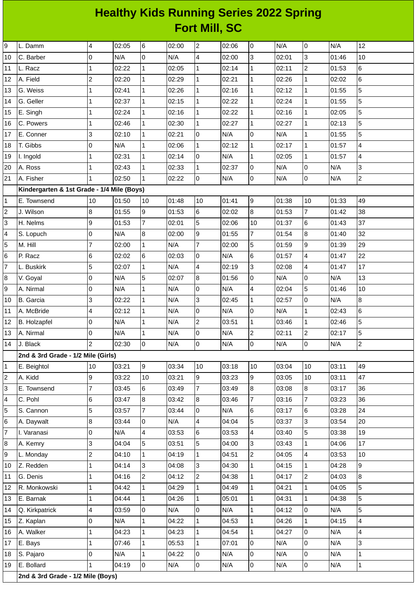## **Healthy Kids Running Series 2022 Spring Fort Mill, SC**

| 9               | L. Damm                                    | 4              | 02:05 | $\,6$          | 02:00 | $\overline{c}$          | 02:06 | 0                        | N/A   | $\overline{0}$           | N/A   | 12             |
|-----------------|--------------------------------------------|----------------|-------|----------------|-------|-------------------------|-------|--------------------------|-------|--------------------------|-------|----------------|
| 10              | C. Barber                                  | $\overline{0}$ | N/A   | $\mathbf 0$    | N/A   | $\overline{\mathbf{4}}$ | 02:00 | l3                       | 02:01 | $\overline{3}$           | 01:46 | 10             |
| 11              | L. Racz                                    | $\mathbf 1$    | 02:22 | $\mathbf{1}$   | 02:05 | $\mathbf 1$             | 02:14 | $\mathbf{1}$             | 02:11 | $\overline{c}$           | 01:53 | 6              |
| 12              | A. Field                                   | $\overline{c}$ | 02:20 | $\mathbf{1}$   | 02:29 | $\mathbf{1}$            | 02:21 | $\mathbf{1}$             | 02:26 | $\mathbf{1}$             | 02:02 | 6              |
| 13              | G. Weiss                                   | $\mathbf{1}$   | 02:41 | $\mathbf{1}$   | 02:26 | $\mathbf 1$             | 02:16 | $\mathbf 1$              | 02:12 | $\mathbf{1}$             | 01:55 | 5              |
| 14              | G. Geller                                  | $\mathbf{1}$   | 02:37 | $\mathbf{1}$   | 02:15 | $\mathbf{1}$            | 02:22 | $\mathbf{1}$             | 02:24 | $\mathbf{1}$             | 01:55 | 5              |
| 15              | E. Singh                                   | $\mathbf{1}$   | 02:24 | $\mathbf{1}$   | 02:16 | $\mathbf{1}$            | 02:22 | $\mathbf{1}$             | 02:16 | $\mathbf{1}$             | 02:05 | 5              |
| 16              | C. Powers                                  | $\overline{1}$ | 02:46 | $\mathbf{1}$   | 02:30 | $\mathbf{1}$            | 02:27 | $\mathbf{1}$             | 02:27 | $\mathbf{1}$             | 02:13 | 5              |
| 17              | E. Conner                                  | 3              | 02:10 | $\mathbf 1$    | 02:21 | $\overline{0}$          | N/A   | 0                        | N/A   | $\mathbf{1}$             | 01:55 | 5              |
| 18              | T. Gibbs                                   | 0              | N/A   | $\mathbf{1}$   | 02:06 | $\mathbf 1$             | 02:12 | $\mathbf{1}$             | 02:17 | $\mathbf{1}$             | 01:57 | 4              |
| 19              | I. Ingold                                  | 1              | 02:31 | $\mathbf 1$    | 02:14 | 0                       | N/A   | $\mathbf{1}$             | 02:05 | $\mathbf 1$              | 01:57 | 4              |
| 20              | A. Ross                                    | $\mathbf{1}$   | 02:43 | $\mathbf{1}$   | 02:33 | $\mathbf 1$             | 02:37 | l0                       | N/A   | 0                        | N/A   | 3              |
| 21              | A. Fisher                                  | $\vert$ 1      | 02:50 | $\mathbf{1}$   | 02:22 | $\overline{0}$          | N/A   | lo                       | N/A   | $\mathsf 0$              | N/A   | $\overline{c}$ |
|                 | Kindergarten & 1st Grade - 1/4 Mile (Boys) |                |       |                |       |                         |       |                          |       |                          |       |                |
| $\mathbf 1$     | E. Townsend                                | 10             | 01:50 | 10             | 01:48 | 10                      | 01:41 | 9                        | 01:38 | 10                       | 01:33 | 49             |
| $\overline{c}$  | J. Wilson                                  | 8              | 01:55 | 9              | 01:53 | 6                       | 02:02 | 8                        | 01:53 | $\overline{7}$           | 01:42 | 38             |
| 3               | H. Nelms                                   | 9              | 01:53 | $\overline{7}$ | 02:01 | 5                       | 02:06 | 10                       | 01:37 | 6                        | 01:43 | 37             |
| 4               | S. Lopuch                                  | 0              | N/A   | $\bf 8$        | 02:00 | 9                       | 01:55 | $\overline{7}$           | 01:54 | $\overline{8}$           | 01:40 | 32             |
| 5               | M. Hill                                    | 7              | 02:00 | $\mathbf{1}$   | N/A   | $\overline{7}$          | 02:00 | 5                        | 01:59 | 9                        | 01:39 | 29             |
| $6\phantom{.}6$ | P. Racz                                    | $\,6$          | 02:02 | $\,6$          | 02:03 | 0                       | N/A   | $6\overline{6}$          | 01:57 | 4                        | 01:47 | 22             |
| $\overline{7}$  | L. Buskirk                                 | 5              | 02:07 | $\mathbf{1}$   | N/A   | $\overline{4}$          | 02:19 | l3                       | 02:08 | $\overline{\mathcal{L}}$ | 01:47 | 17             |
| $\bf 8$         | V. Goyal                                   | O              | N/A   | 5              | 02:07 | $\boldsymbol{8}$        | 01:56 | 0                        | N/A   | 0                        | N/A   | 13             |
| 9               | A. Nirmal                                  | 0              | N/A   | $\mathbf{1}$   | N/A   | 0                       | N/A   | $\overline{\mathcal{A}}$ | 02:04 | 5                        | 01:46 | 10             |
| 10              | <b>B.</b> Garcia                           | 3              | 02:22 | $\mathbf{1}$   | N/A   | 3                       | 02:45 | $\mathbf{1}$             | 02:57 | $\mathsf 0$              | N/A   | 8              |
| 11              | A. McBride                                 | 4              | 02:12 | $\mathbf 1$    | N/A   | $\overline{0}$          | N/A   | 0                        | N/A   | $\mathbf{1}$             | 02:43 | 6              |
| 12              | <b>B.</b> Holzapfel                        | $\overline{0}$ | N/A   | $\mathbf{1}$   | N/A   | $\overline{c}$          | 03:51 | $\mathbf{1}$             | 03:46 | $\mathbf{1}$             | 02:46 | 5              |
| 13              | A. Nirmal                                  | 0              | N/A   | $\mathbf 1$    | N/A   | $\overline{0}$          | N/A   | $\overline{c}$           | 02:11 | $\overline{c}$           | 02:17 | 5              |
| 14              | J. Black                                   | $\overline{c}$ | 02:30 | lo             | N/A   | $\overline{0}$          | N/A   | l0                       | N/A   | 0                        | N/A   | $\overline{c}$ |
|                 | 2nd & 3rd Grade - 1/2 Mile (Girls)         |                |       |                |       |                         |       |                          |       |                          |       |                |
| $\mathbf{1}$    | E. Beightol                                | 10             | 03:21 | 9              | 03:34 | 10                      | 03:18 | 10                       | 03:04 | 10                       | 03:11 | 49             |
| $\overline{c}$  | A. Kidd                                    | 9              | 03:22 | 10             | 03:21 | 9                       | 03:23 | 9                        | 03:05 | 10                       | 03:11 | 47             |
| 3               | E. Townsend                                | $\overline{7}$ | 03:45 | 6              | 03:49 | $\overline{7}$          | 03:49 | 8                        | 03:08 | 8                        | 03:17 | 36             |
| 4               | C. Pohl                                    | 6              | 03:47 | 8              | 03:42 | 8                       | 03:46 | 7                        | 03:16 | $\overline{7}$           | 03:23 | 36             |
| 5               | S. Cannon                                  | 5              | 03:57 | $\overline{7}$ | 03:44 | 0                       | N/A   | $6\phantom{.}$           | 03:17 | 6                        | 03:28 | 24             |
| 6               | A. Daywalt                                 | 8              | 03:44 | $\pmb{0}$      | N/A   | 4                       | 04:04 | 5                        | 03:37 | 3                        | 03:54 | 20             |
| $\overline{7}$  | I. Varanasi                                | 0              | N/A   | 4              | 03:53 | 6                       | 03:53 | 4                        | 03:40 | 5                        | 03:38 | 19             |
| 8               | A. Kemry                                   | 3              | 04:04 | 5              | 03:51 | 5                       | 04:00 | 3                        | 03:43 | $\mathbf{1}$             | 04:06 | 17             |
| 9               | L. Monday                                  | $\overline{c}$ | 04:10 | $\mathbf 1$    | 04:19 | $\mathbf 1$             | 04:51 | $\overline{c}$           | 04:05 | 4                        | 03:53 | 10             |
| 10              | Z. Redden                                  | $\mathbf{1}$   | 04:14 | 3              | 04:08 | 3                       | 04:30 | $\mathbf{1}$             | 04:15 | $\mathbf{1}$             | 04:28 | 9              |
| 11              | G. Denis                                   | 1              | 04:16 | $\overline{c}$ | 04:12 | $\overline{c}$          | 04:38 | $\mathbf{1}$             | 04:17 | $\overline{c}$           | 04:03 | 8              |
| 12              | R. Monkowski                               | 1              | 04:42 | $\mathbf{1}$   | 04:29 | $\mathbf 1$             | 04:49 | $\mathbf{1}$             | 04:21 | $\mathbf{1}$             | 04:05 | 5              |
| 13              | E. Barnak                                  | 1              | 04:44 | $\mathbf{1}$   | 04:26 | $\mathbf 1$             | 05:01 | $\mathbf{1}$             | 04:31 | $\mathbf{1}$             | 04:38 | 5              |
| 14              | Q. Kirkpatrick                             | 4              | 03:59 | $\mathsf 0$    | N/A   | 0                       | N/A   | $\mathbf{1}$             | 04:12 | 0                        | N/A   | 5              |
| 15              | Z. Kaplan                                  | 0              | N/A   | $\mathbf 1$    | 04:22 | $\mathbf 1$             | 04:53 | $\mathbf{1}$             | 04:26 | 1                        | 04:15 | 4              |
| 16              | A. Walker                                  | $\mathbf{1}$   | 04:23 | $\mathbf 1$    | 04:23 | $\mathbf 1$             | 04:54 | $\mathbf{1}$             | 04:27 | 0                        | N/A   | 4              |
| 17              | E. Bays                                    | 1              | 07:46 | $\mathbf 1$    | 05:53 | $\mathbf{1}$            | 07:01 | 0                        | N/A   | 0                        | N/A   | 3              |
| 18              | S. Pajaro                                  | 0              | N/A   | $\mathbf 1$    | 04:22 | 0                       | N/A   | $\pmb{0}$                | N/A   | 0                        | N/A   | $\mathbf{1}$   |
| 19              | E. Bollard                                 | $\mathbf{1}$   | 04:19 | $\mathsf 0$    | N/A   | 0                       | N/A   | l0                       | N/A   | 0                        | N/A   | $\mathbf 1$    |
|                 | 2nd & 3rd Grade - 1/2 Mile (Boys)          |                |       |                |       |                         |       |                          |       |                          |       |                |